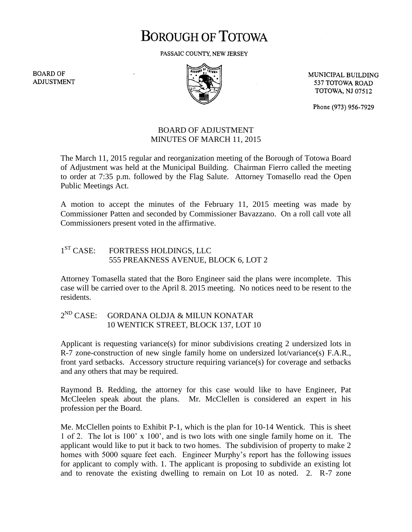## **BOROUGH OF TOTOWA**

PASSAIC COUNTY, NEW JERSEY

**BOARD OF ADJUSTMENT** 



MUNICIPAL BUILDING 537 TOTOWA ROAD **TOTOWA, NJ 07512** 

Phone (973) 956-7929

## BOARD OF ADJUSTMENT MINUTES OF MARCH 11, 2015

The March 11, 2015 regular and reorganization meeting of the Borough of Totowa Board of Adjustment was held at the Municipal Building. Chairman Fierro called the meeting to order at 7:35 p.m. followed by the Flag Salute. Attorney Tomasello read the Open Public Meetings Act.

A motion to accept the minutes of the February 11, 2015 meeting was made by Commissioner Patten and seconded by Commissioner Bavazzano. On a roll call vote all Commissioners present voted in the affirmative.

## $1<sup>ST</sup> CASE:$ FORTRESS HOLDINGS, LLC 555 PREAKNESS AVENUE, BLOCK 6, LOT 2

Attorney Tomasella stated that the Boro Engineer said the plans were incomplete. This case will be carried over to the April 8. 2015 meeting. No notices need to be resent to the residents.

## $2^{ND}$  CASE: GORDANA OLDJA & MILUN KONATAR 10 WENTICK STREET, BLOCK 137, LOT 10

Applicant is requesting variance(s) for minor subdivisions creating 2 undersized lots in R-7 zone-construction of new single family home on undersized lot/variance(s) F.A.R., front yard setbacks. Accessory structure requiring variance(s) for coverage and setbacks and any others that may be required.

Raymond B. Redding, the attorney for this case would like to have Engineer, Pat McCleelen speak about the plans. Mr. McClellen is considered an expert in his profession per the Board.

Me. McClellen points to Exhibit P-1, which is the plan for 10-14 Wentick. This is sheet 1 of 2. The lot is 100' x 100', and is two lots with one single family home on it. The applicant would like to put it back to two homes. The subdivision of property to make 2 homes with 5000 square feet each. Engineer Murphy's report has the following issues for applicant to comply with. 1. The applicant is proposing to subdivide an existing lot and to renovate the existing dwelling to remain on Lot 10 as noted. 2. R-7 zone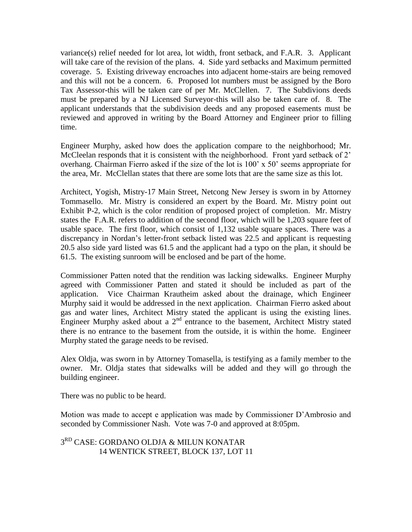variance(s) relief needed for lot area, lot width, front setback, and F.A.R. 3. Applicant will take care of the revision of the plans. 4. Side yard setbacks and Maximum permitted coverage. 5. Existing driveway encroaches into adjacent home-stairs are being removed and this will not be a concern. 6. Proposed lot numbers must be assigned by the Boro Tax Assessor-this will be taken care of per Mr. McClellen. 7. The Subdivions deeds must be prepared by a NJ Licensed Surveyor-this will also be taken care of. 8. The applicant understands that the subdivision deeds and any proposed easements must be reviewed and approved in writing by the Board Attorney and Engineer prior to filling time.

Engineer Murphy, asked how does the application compare to the neighborhood; Mr. McCleelan responds that it is consistent with the neighborhood. Front yard setback of 2' overhang. Chairman Fierro asked if the size of the lot is 100' x 50' seems appropriate for the area, Mr. McClellan states that there are some lots that are the same size as this lot.

Architect, Yogish, Mistry-17 Main Street, Netcong New Jersey is sworn in by Attorney Tommasello. Mr. Mistry is considered an expert by the Board. Mr. Mistry point out Exhibit P-2, which is the color rendition of proposed project of completion. Mr. Mistry states the F.A.R. refers to addition of the second floor, which will be 1,203 square feet of usable space. The first floor, which consist of 1,132 usable square spaces. There was a discrepancy in Nordan's letter-front setback listed was 22.5 and applicant is requesting 20.5 also side yard listed was 61.5 and the applicant had a typo on the plan, it should be 61.5. The existing sunroom will be enclosed and be part of the home.

Commissioner Patten noted that the rendition was lacking sidewalks. Engineer Murphy agreed with Commissioner Patten and stated it should be included as part of the application. Vice Chairman Krautheim asked about the drainage, which Engineer Murphy said it would be addressed in the next application. Chairman Fierro asked about gas and water lines, Architect Mistry stated the applicant is using the existing lines. Engineer Murphy asked about a  $2<sup>nd</sup>$  entrance to the basement, Architect Mistry stated there is no entrance to the basement from the outside, it is within the home. Engineer Murphy stated the garage needs to be revised.

Alex Oldja, was sworn in by Attorney Tomasella, is testifying as a family member to the owner. Mr. Oldja states that sidewalks will be added and they will go through the building engineer.

There was no public to be heard.

Motion was made to accept e application was made by Commissioner D'Ambrosio and seconded by Commissioner Nash. Vote was 7-0 and approved at 8:05pm.

3 RD CASE: GORDANO OLDJA & MILUN KONATAR 14 WENTICK STREET, BLOCK 137, LOT 11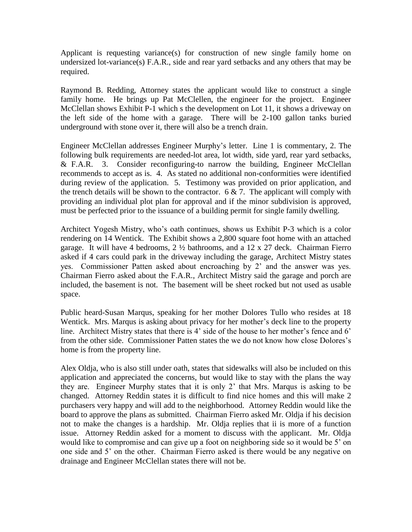Applicant is requesting variance(s) for construction of new single family home on undersized lot-variance(s) F.A.R., side and rear yard setbacks and any others that may be required.

Raymond B. Redding, Attorney states the applicant would like to construct a single family home. He brings up Pat McClellen, the engineer for the project. Engineer McClellan shows Exhibit P-1 which s the development on Lot 11, it shows a driveway on the left side of the home with a garage. There will be 2-100 gallon tanks buried underground with stone over it, there will also be a trench drain.

Engineer McClellan addresses Engineer Murphy's letter. Line 1 is commentary, 2. The following bulk requirements are needed-lot area, lot width, side yard, rear yard setbacks, & F.A.R. 3. Consider reconfiguring-to narrow the building, Engineer McClellan recommends to accept as is. 4. As stated no additional non-conformities were identified during review of the application. 5. Testimony was provided on prior application, and the trench details will be shown to the contractor.  $6 \& 7$ . The applicant will comply with providing an individual plot plan for approval and if the minor subdivision is approved, must be perfected prior to the issuance of a building permit for single family dwelling.

Architect Yogesh Mistry, who's oath continues, shows us Exhibit P-3 which is a color rendering on 14 Wentick. The Exhibit shows a 2,800 square foot home with an attached garage. It will have 4 bedrooms, 2 ½ bathrooms, and a 12 x 27 deck. Chairman Fierro asked if 4 cars could park in the driveway including the garage, Architect Mistry states yes. Commissioner Patten asked about encroaching by 2' and the answer was yes. Chairman Fierro asked about the F.A.R., Architect Mistry said the garage and porch are included, the basement is not. The basement will be sheet rocked but not used as usable space.

Public heard-Susan Marqus, speaking for her mother Dolores Tullo who resides at 18 Wentick. Mrs. Marqus is asking about privacy for her mother's deck line to the property line. Architect Mistry states that there is 4' side of the house to her mother's fence and 6' from the other side. Commissioner Patten states the we do not know how close Dolores's home is from the property line.

Alex Oldja, who is also still under oath, states that sidewalks will also be included on this application and appreciated the concerns, but would like to stay with the plans the way they are. Engineer Murphy states that it is only 2' that Mrs. Marqus is asking to be changed. Attorney Reddin states it is difficult to find nice homes and this will make 2 purchasers very happy and will add to the neighborhood. Attorney Reddin would like the board to approve the plans as submitted. Chairman Fierro asked Mr. Oldja if his decision not to make the changes is a hardship. Mr. Oldja replies that ii is more of a function issue. Attorney Reddin asked for a moment to discuss with the applicant. Mr. Oldja would like to compromise and can give up a foot on neighboring side so it would be 5' on one side and 5' on the other. Chairman Fierro asked is there would be any negative on drainage and Engineer McClellan states there will not be.